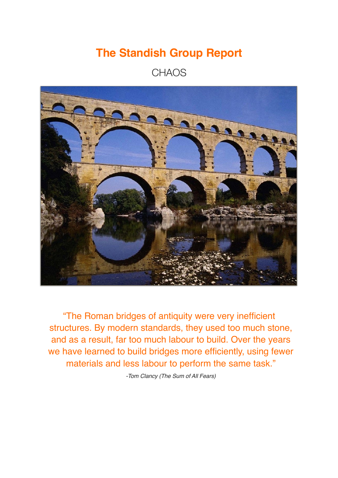# **The Standish Group Report**

### **CHAOS**



"The Roman bridges of antiquity were very inefficient structures. By modern standards, they used too much stone, and as a result, far too much labour to build. Over the years we have learned to build bridges more efficiently, using fewer materials and less labour to perform the same task."

*-Tom Clancy (The Sum of All Fears)*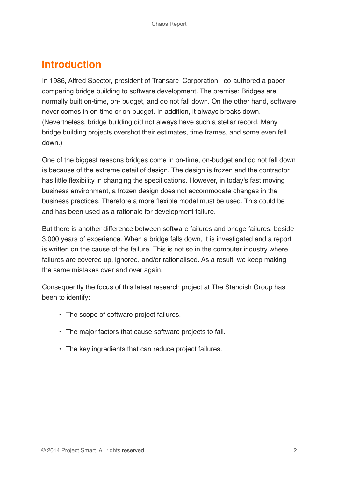### **Introduction**

In 1986, Alfred Spector, president of Transarc Corporation, co-authored a paper comparing bridge building to software development. The premise: Bridges are normally built on-time, on- budget, and do not fall down. On the other hand, software never comes in on-time or on-budget. In addition, it always breaks down. (Nevertheless, bridge building did not always have such a stellar record. Many bridge building projects overshot their estimates, time frames, and some even fell down.)

One of the biggest reasons bridges come in on-time, on-budget and do not fall down is because of the extreme detail of design. The design is frozen and the contractor has little flexibility in changing the specifications. However, in today's fast moving business environment, a frozen design does not accommodate changes in the business practices. Therefore a more flexible model must be used. This could be and has been used as a rationale for development failure.

But there is another difference between software failures and bridge failures, beside 3,000 years of experience. When a bridge falls down, it is investigated and a report is written on the cause of the failure. This is not so in the computer industry where failures are covered up, ignored, and/or rationalised. As a result, we keep making the same mistakes over and over again.

Consequently the focus of this latest research project at The Standish Group has been to identify:

- The scope of software project failures.
- The major factors that cause software projects to fail.
- The key ingredients that can reduce project failures.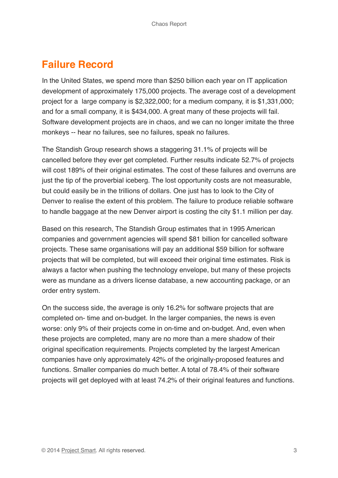## **Failure Record**

In the United States, we spend more than \$250 billion each year on IT application development of approximately 175,000 projects. The average cost of a development project for a large company is \$2,322,000; for a medium company, it is \$1,331,000; and for a small company, it is \$434,000. A great many of these projects will fail. Software development projects are in chaos, and we can no longer imitate the three monkeys -- hear no failures, see no failures, speak no failures.

The Standish Group research shows a staggering 31.1% of projects will be cancelled before they ever get completed. Further results indicate 52.7% of projects will cost 189% of their original estimates. The cost of these failures and overruns are just the tip of the proverbial iceberg. The lost opportunity costs are not measurable, but could easily be in the trillions of dollars. One just has to look to the City of Denver to realise the extent of this problem. The failure to produce reliable software to handle baggage at the new Denver airport is costing the city \$1.1 million per day.

Based on this research, The Standish Group estimates that in 1995 American companies and government agencies will spend \$81 billion for cancelled software projects. These same organisations will pay an additional \$59 billion for software projects that will be completed, but will exceed their original time estimates. Risk is always a factor when pushing the technology envelope, but many of these projects were as mundane as a drivers license database, a new accounting package, or an order entry system.

On the success side, the average is only 16.2% for software projects that are completed on- time and on-budget. In the larger companies, the news is even worse: only 9% of their projects come in on-time and on-budget. And, even when these projects are completed, many are no more than a mere shadow of their original specification requirements. Projects completed by the largest American companies have only approximately 42% of the originally-proposed features and functions. Smaller companies do much better. A total of 78.4% of their software projects will get deployed with at least 74.2% of their original features and functions.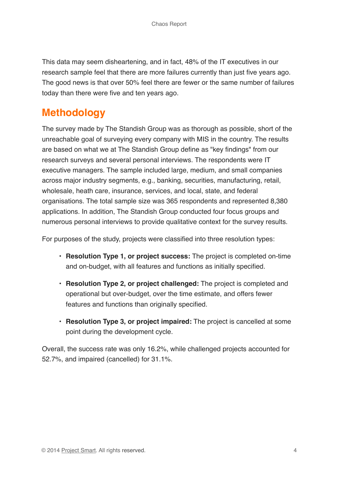This data may seem disheartening, and in fact, 48% of the IT executives in our research sample feel that there are more failures currently than just five years ago. The good news is that over 50% feel there are fewer or the same number of failures today than there were five and ten years ago.

### **Methodology**

The survey made by The Standish Group was as thorough as possible, short of the unreachable goal of surveying every company with MIS in the country. The results are based on what we at The Standish Group define as "key findings" from our research surveys and several personal interviews. The respondents were IT executive managers. The sample included large, medium, and small companies across major industry segments, e.g., banking, securities, manufacturing, retail, wholesale, heath care, insurance, services, and local, state, and federal organisations. The total sample size was 365 respondents and represented 8,380 applications. In addition, The Standish Group conducted four focus groups and numerous personal interviews to provide qualitative context for the survey results.

For purposes of the study, projects were classified into three resolution types:

- **Resolution Type 1, or project success:** The project is completed on-time and on-budget, with all features and functions as initially specified.
- **Resolution Type 2, or project challenged:** The project is completed and operational but over-budget, over the time estimate, and offers fewer features and functions than originally specified.
- **Resolution Type 3, or project impaired:** The project is cancelled at some point during the development cycle.

Overall, the success rate was only 16.2%, while challenged projects accounted for 52.7%, and impaired (cancelled) for 31.1%.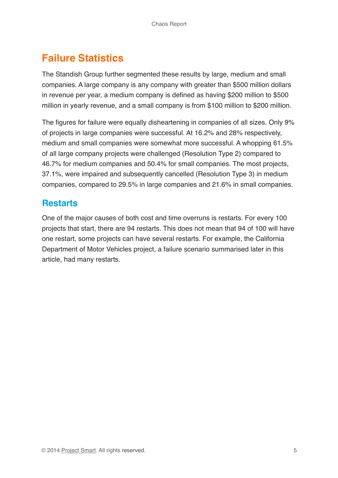# **Failure Statistics**

The Standish Group further segmented these results by large, medium and small companies. A large company is any company with greater than \$500 million dollars in revenue per year, a medium company is defined as having \$200 million to \$500 million in yearly revenue, and a small company is from \$100 million to \$200 million.

The figures for failure were equally disheartening in companies of all sizes. Only 9% of projects in large companies were successful. At 16.2% and 28% respectively, medium and small companies were somewhat more successful. A whopping 61.5% of all large company projects were challenged (Resolution Type 2) compared to 46.7% for medium companies and 50.4% for small companies. The most projects, 37.1%, were impaired and subsequently cancelled (Resolution Type 3) in medium companies, compared to 29.5% in large companies and 21.6% in small companies.

#### **Restarts**

One of the major causes of both cost and time overruns is restarts. For every 100 projects that start, there are 94 restarts. This does not mean that 94 of 100 will have one restart, some projects can have several restarts. For example, the California Department of Motor Vehicles project, a failure scenario summarised later in this article, had many restarts.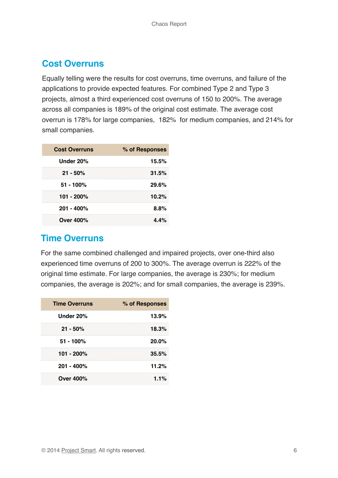#### **Cost Overruns**

Equally telling were the results for cost overruns, time overruns, and failure of the applications to provide expected features. For combined Type 2 and Type 3 projects, almost a third experienced cost overruns of 150 to 200%. The average across all companies is 189% of the original cost estimate. The average cost overrun is 178% for large companies, 182% for medium companies, and 214% for small companies.

| <b>Cost Overruns</b> | % of Responses |
|----------------------|----------------|
| Under 20%            | 15.5%          |
| $21 - 50\%$          | 31.5%          |
| $51 - 100%$          | 29.6%          |
| 101 - 200%           | 10.2%          |
| $201 - 400\%$        | 8.8%           |
| Over 400%            | 4.4%           |

#### **Time Overruns**

For the same combined challenged and impaired projects, over one-third also experienced time overruns of 200 to 300%. The average overrun is 222% of the original time estimate. For large companies, the average is 230%; for medium companies, the average is 202%; and for small companies, the average is 239%.

| <b>Time Overruns</b> | % of Responses |
|----------------------|----------------|
| Under 20%            | 13.9%          |
| $21 - 50\%$          | 18.3%          |
| $51 - 100\%$         | $20.0\%$       |
| 101 - 200%           | 35.5%          |
| $201 - 400\%$        | 11.2%          |
| <b>Over 400%</b>     | 1.1%           |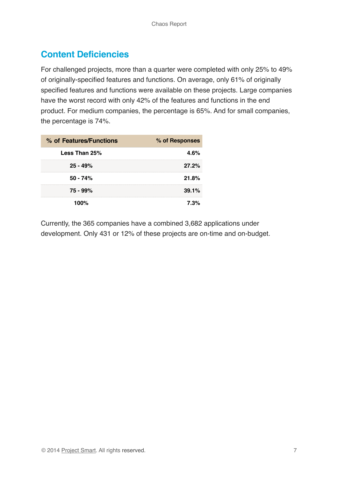### **Content Deficiencies**

For challenged projects, more than a quarter were completed with only 25% to 49% of originally-specified features and functions. On average, only 61% of originally specified features and functions were available on these projects. Large companies have the worst record with only 42% of the features and functions in the end product. For medium companies, the percentage is 65%. And for small companies, the percentage is 74%.

| % of Features/Functions | % of Responses |  |
|-------------------------|----------------|--|
| Less Than 25%           | 4.6%           |  |
| $25 - 49%$              | 27.2%          |  |
| $50 - 74%$              | 21.8%          |  |
| 75 - 99%                | 39.1%          |  |
| 100%                    | 7.3%           |  |

Currently, the 365 companies have a combined 3,682 applications under development. Only 431 or 12% of these projects are on-time and on-budget.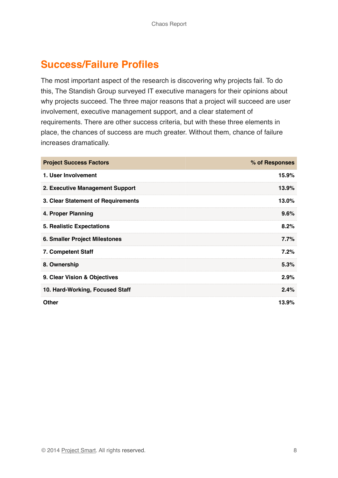### **Success/Failure Profiles**

The most important aspect of the research is discovering why projects fail. To do this, The Standish Group surveyed IT executive managers for their opinions about why projects succeed. The three major reasons that a project will succeed are user involvement, executive management support, and a clear statement of requirements. There are other success criteria, but with these three elements in place, the chances of success are much greater. Without them, chance of failure increases dramatically.

| <b>Project Success Factors</b>     | % of Responses |
|------------------------------------|----------------|
| 1. User Involvement                | 15.9%          |
| 2. Executive Management Support    | 13.9%          |
| 3. Clear Statement of Requirements | 13.0%          |
| 4. Proper Planning                 | 9.6%           |
| <b>5. Realistic Expectations</b>   | 8.2%           |
| 6. Smaller Project Milestones      | $7.7\%$        |
| 7. Competent Staff                 | 7.2%           |
| 8. Ownership                       | 5.3%           |
| 9. Clear Vision & Objectives       | 2.9%           |
| 10. Hard-Working, Focused Staff    | 2.4%           |
| <b>Other</b>                       | 13.9%          |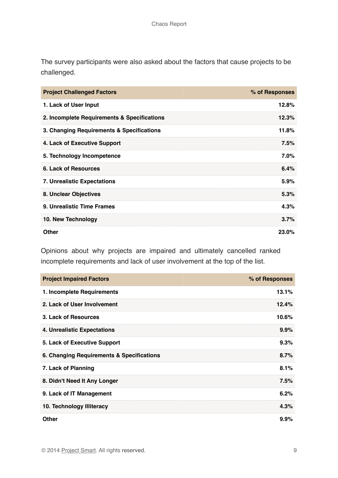The survey participants were also asked about the factors that cause projects to be challenged.

| <b>Project Challenged Factors</b>           | % of Responses |
|---------------------------------------------|----------------|
| 1. Lack of User Input                       | 12.8%          |
| 2. Incomplete Requirements & Specifications | 12.3%          |
| 3. Changing Requirements & Specifications   | 11.8%          |
| 4. Lack of Executive Support                | 7.5%           |
| 5. Technology Incompetence                  | 7.0%           |
| <b>6. Lack of Resources</b>                 | 6.4%           |
| <b>7. Unrealistic Expectations</b>          | 5.9%           |
| 8. Unclear Objectives                       | 5.3%           |
| 9. Unrealistic Time Frames                  | 4.3%           |
| 10. New Technology                          | 3.7%           |
| Other                                       | 23.0%          |

Opinions about why projects are impaired and ultimately cancelled ranked incomplete requirements and lack of user involvement at the top of the list.

| <b>Project Impaired Factors</b>           | % of Responses |
|-------------------------------------------|----------------|
| 1. Incomplete Requirements                | 13.1%          |
| 2. Lack of User Involvement               | $12.4\%$       |
| 3. Lack of Resources                      | 10.6%          |
| 4. Unrealistic Expectations               | $9.9\%$        |
| 5. Lack of Executive Support              | 9.3%           |
| 6. Changing Requirements & Specifications | 8.7%           |
| 7. Lack of Planning                       | 8.1%           |
| 8. Didn't Need It Any Longer              | 7.5%           |
| 9. Lack of IT Management                  | 6.2%           |
| 10. Technology Illiteracy                 | 4.3%           |
| Other                                     | $9.9\%$        |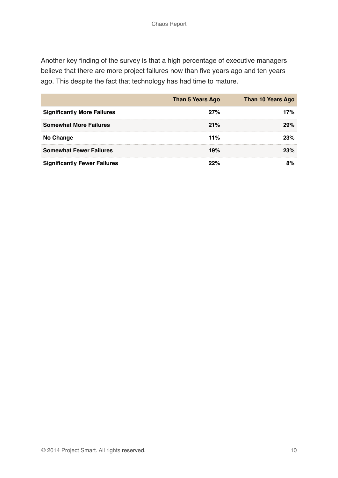Another key finding of the survey is that a high percentage of executive managers believe that there are more project failures now than five years ago and ten years ago. This despite the fact that technology has had time to mature.

|                                     | <b>Than 5 Years Ago</b> | <b>Than 10 Years Ago</b> |
|-------------------------------------|-------------------------|--------------------------|
| <b>Significantly More Failures</b>  | 27%                     | 7%                       |
| <b>Somewhat More Failures</b>       | 21%                     | 29%                      |
| <b>No Change</b>                    | 11%                     | 23%                      |
| <b>Somewhat Fewer Failures</b>      | 19%                     | 23%                      |
| <b>Significantly Fewer Failures</b> |                         |                          |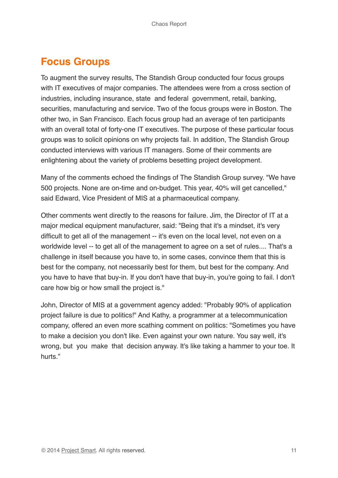# **Focus Groups**

To augment the survey results, The Standish Group conducted four focus groups with IT executives of major companies. The attendees were from a cross section of industries, including insurance, state and federal government, retail, banking, securities, manufacturing and service. Two of the focus groups were in Boston. The other two, in San Francisco. Each focus group had an average of ten participants with an overall total of forty-one IT executives. The purpose of these particular focus groups was to solicit opinions on why projects fail. In addition, The Standish Group conducted interviews with various IT managers. Some of their comments are enlightening about the variety of problems besetting project development.

Many of the comments echoed the findings of The Standish Group survey. "We have 500 projects. None are on-time and on-budget. This year, 40% will get cancelled," said Edward, Vice President of MIS at a pharmaceutical company.

Other comments went directly to the reasons for failure. Jim, the Director of IT at a major medical equipment manufacturer, said: "Being that it's a mindset, it's very difficult to get all of the management -- it's even on the local level, not even on a worldwide level -- to get all of the management to agree on a set of rules.... That's a challenge in itself because you have to, in some cases, convince them that this is best for the company, not necessarily best for them, but best for the company. And you have to have that buy-in. If you don't have that buy-in, you're going to fail. I don't care how big or how small the project is."

John, Director of MIS at a government agency added: "Probably 90% of application project failure is due to politics!" And Kathy, a programmer at a telecommunication company, offered an even more scathing comment on politics: "Sometimes you have to make a decision you don't like. Even against your own nature. You say well, it's wrong, but you make that decision anyway. It's like taking a hammer to your toe. It hurts."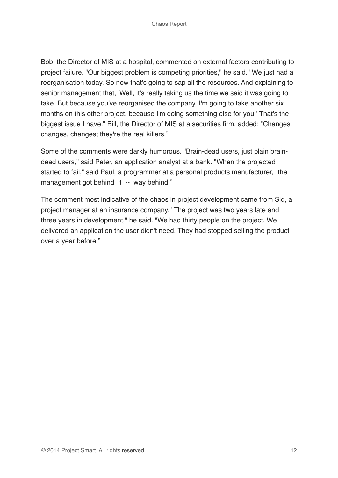Bob, the Director of MIS at a hospital, commented on external factors contributing to project failure. "Our biggest problem is competing priorities," he said. "We just had a reorganisation today. So now that's going to sap all the resources. And explaining to senior management that, 'Well, it's really taking us the time we said it was going to take. But because you've reorganised the company, I'm going to take another six months on this other project, because I'm doing something else for you.' That's the biggest issue I have." Bill, the Director of MIS at a securities firm, added: "Changes, changes, changes; they're the real killers."

Some of the comments were darkly humorous. "Brain-dead users, just plain braindead users," said Peter, an application analyst at a bank. "When the projected started to fail," said Paul, a programmer at a personal products manufacturer, "the management got behind it -- way behind."

The comment most indicative of the chaos in project development came from Sid, a project manager at an insurance company. "The project was two years late and three years in development," he said. "We had thirty people on the project. We delivered an application the user didn't need. They had stopped selling the product over a year before."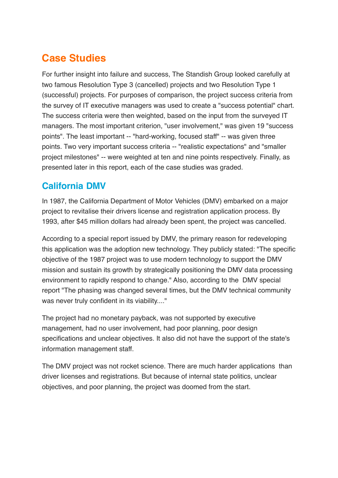# **Case Studies**

For further insight into failure and success, The Standish Group looked carefully at two famous Resolution Type 3 (cancelled) projects and two Resolution Type 1 (successful) projects. For purposes of comparison, the project success criteria from the survey of IT executive managers was used to create a "success potential" chart. The success criteria were then weighted, based on the input from the surveyed IT managers. The most important criterion, "user involvement," was given 19 "success points". The least important -- "hard-working, focused staff" -- was given three points. Two very important success criteria -- "realistic expectations" and "smaller project milestones" -- were weighted at ten and nine points respectively. Finally, as presented later in this report, each of the case studies was graded.

### **California DMV**

In 1987, the California Department of Motor Vehicles (DMV) embarked on a major project to revitalise their drivers license and registration application process. By 1993, after \$45 million dollars had already been spent, the project was cancelled.

According to a special report issued by DMV, the primary reason for redeveloping this application was the adoption new technology. They publicly stated: "The specific objective of the 1987 project was to use modern technology to support the DMV mission and sustain its growth by strategically positioning the DMV data processing environment to rapidly respond to change." Also, according to the DMV special report "The phasing was changed several times, but the DMV technical community was never truly confident in its viability...."

The project had no monetary payback, was not supported by executive management, had no user involvement, had poor planning, poor design specifications and unclear objectives. It also did not have the support of the state's information management staff.

The DMV project was not rocket science. There are much harder applications than driver licenses and registrations. But because of internal state politics, unclear objectives, and poor planning, the project was doomed from the start.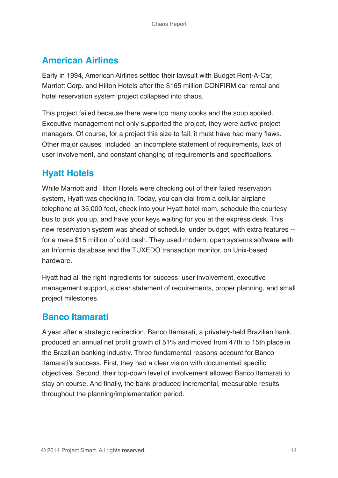#### **American Airlines**

Early in 1994, American Airlines settled their lawsuit with Budget Rent-A-Car, Marriott Corp. and Hilton Hotels after the \$165 million CONFIRM car rental and hotel reservation system project collapsed into chaos.

This project failed because there were too many cooks and the soup spoiled. Executive management not only supported the project, they were active project managers. Of course, for a project this size to fail, it must have had many flaws. Other major causes included an incomplete statement of requirements, lack of user involvement, and constant changing of requirements and specifications.

### **Hyatt Hotels**

While Marriott and Hilton Hotels were checking out of their failed reservation system, Hyatt was checking in. Today, you can dial from a cellular airplane telephone at 35,000 feet, check into your Hyatt hotel room, schedule the courtesy bus to pick you up, and have your keys waiting for you at the express desk. This new reservation system was ahead of schedule, under budget, with extra features - for a mere \$15 million of cold cash. They used modern, open systems software with an Informix database and the TUXEDO transaction monitor, on Unix-based hardware.

Hyatt had all the right ingredients for success: user involvement, executive management support, a clear statement of requirements, proper planning, and small project milestones.

#### **Banco Itamarati**

A year after a strategic redirection, Banco Itamarati, a privately-held Brazilian bank, produced an annual net profit growth of 51% and moved from 47th to 15th place in the Brazilian banking industry. Three fundamental reasons account for Banco Itamarati's success. First, they had a clear vision with documented specific objectives. Second, their top-down level of involvement allowed Banco Itamarati to stay on course. And finally, the bank produced incremental, measurable results throughout the planning/implementation period.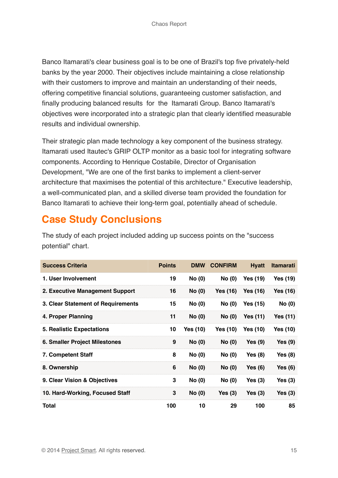Banco Itamarati's clear business goal is to be one of Brazil's top five privately-held banks by the year 2000. Their objectives include maintaining a close relationship with their customers to improve and maintain an understanding of their needs, offering competitive financial solutions, guaranteeing customer satisfaction, and finally producing balanced results for the Itamarati Group. Banco Itamarati's objectives were incorporated into a strategic plan that clearly identified measurable results and individual ownership.

Their strategic plan made technology a key component of the business strategy. Itamarati used Itautec's GRIP OLTP monitor as a basic tool for integrating software components. According to Henrique Costabile, Director of Organisation Development, "We are one of the first banks to implement a client-server architecture that maximises the potential of this architecture." Executive leadership, a well-communicated plan, and a skilled diverse team provided the foundation for Banco Itamarati to achieve their long-term goal, potentially ahead of schedule.

# **Case Study Conclusions**

The study of each project included adding up success points on the "success potential" chart.

| <b>Success Criteria</b>              | <b>Points</b> | <b>DMW</b>    | <b>CONFIRM</b>  | <b>Hyatt</b>    | <b>Itamarati</b> |
|--------------------------------------|---------------|---------------|-----------------|-----------------|------------------|
| 1. User Involvement                  | 19            | <b>No (0)</b> | <b>No (0)</b>   | <b>Yes (19)</b> | Yes (19)         |
| 2. Executive Management Support      | 16            | No(0)         | <b>Yes (16)</b> | <b>Yes (16)</b> | Yes (16)         |
| 3. Clear Statement of Requirements   | 15            | No(0)         | No (0)          | <b>Yes (15)</b> | <b>No (0)</b>    |
| 4. Proper Planning                   | 11            | <b>No (0)</b> | <b>No (0)</b>   | Yes $(11)$      | <b>Yes (11)</b>  |
| 5. Realistic Expectations            | 10            | Yes (10)      | Yes (10)        | <b>Yes (10)</b> | Yes (10)         |
| <b>6. Smaller Project Milestones</b> | 9             | <b>No (0)</b> | No(0)           | Yes $(9)$       | Yes $(9)$        |
| 7. Competent Staff                   | 8             | <b>No (0)</b> | No(0)           | Yes $(8)$       | <b>Yes</b> (8)   |
| 8. Ownership                         | 6             | <b>No (0)</b> | No(0)           | Yes $(6)$       | Yes $(6)$        |
| 9. Clear Vision & Objectives         | 3             | No(0)         | <b>No (0)</b>   | Yes $(3)$       | Yes $(3)$        |
| 10. Hard-Working, Focused Staff      | 3             | <b>No (0)</b> | Yes $(3)$       | Yes $(3)$       | Yes $(3)$        |
| Total                                | 100           | 10            | 29              | 100             | 85               |